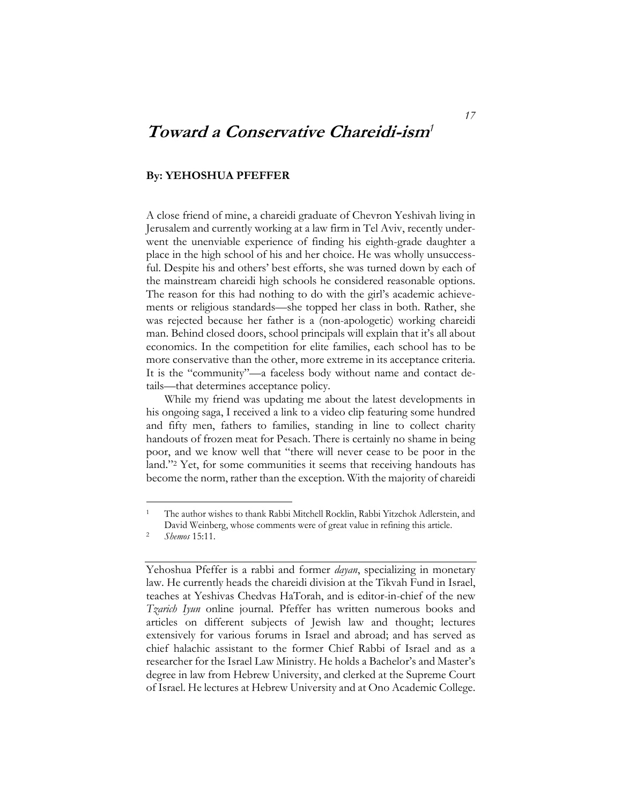# **Toward a Conservative Chareidi-ism***1*

### **By: YEHOSHUA PFEFFER**

A close friend of mine, a chareidi graduate of Chevron Yeshivah living in Jerusalem and currently working at a law firm in Tel Aviv, recently underwent the unenviable experience of finding his eighth-grade daughter a place in the high school of his and her choice. He was wholly unsuccessful. Despite his and others' best efforts, she was turned down by each of the mainstream chareidi high schools he considered reasonable options. The reason for this had nothing to do with the girl's academic achievements or religious standards—she topped her class in both. Rather, she was rejected because her father is a (non-apologetic) working chareidi man. Behind closed doors, school principals will explain that it's all about economics. In the competition for elite families, each school has to be more conservative than the other, more extreme in its acceptance criteria. It is the "community"—a faceless body without name and contact details—that determines acceptance policy.

While my friend was updating me about the latest developments in his ongoing saga, I received a link to a video clip featuring some hundred and fifty men, fathers to families, standing in line to collect charity handouts of frozen meat for Pesach. There is certainly no shame in being poor, and we know well that "there will never cease to be poor in the land."2 Yet, for some communities it seems that receiving handouts has become the norm, rather than the exception. With the majority of chareidi

<sup>1</sup> The author wishes to thank Rabbi Mitchell Rocklin, Rabbi Yitzchok Adlerstein, and David Weinberg, whose comments were of great value in refining this article.

<sup>2</sup> *Shemos* 15:11.

Yehoshua Pfeffer is a rabbi and former *dayan*, specializing in monetary law. He currently heads the chareidi division at the Tikvah Fund in Israel, teaches at Yeshivas Chedvas HaTorah, and is editor-in-chief of the new *Tzarich Iyun* online journal. Pfeffer has written numerous books and articles on different subjects of Jewish law and thought; lectures extensively for various forums in Israel and abroad; and has served as chief halachic assistant to the former Chief Rabbi of Israel and as a researcher for the Israel Law Ministry. He holds a Bachelor's and Master's degree in law from Hebrew University, and clerked at the Supreme Court of Israel. He lectures at Hebrew University and at Ono Academic College.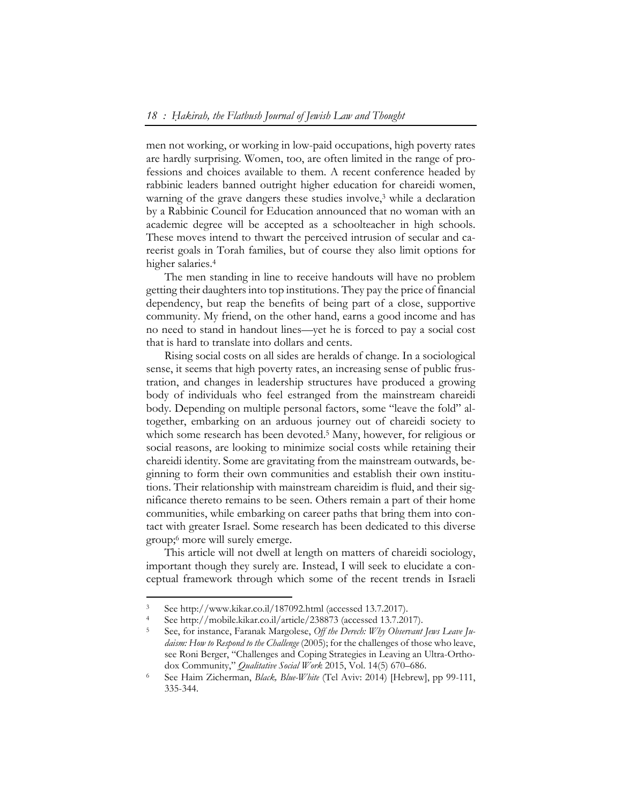men not working, or working in low-paid occupations, high poverty rates are hardly surprising. Women, too, are often limited in the range of professions and choices available to them. A recent conference headed by rabbinic leaders banned outright higher education for chareidi women, warning of the grave dangers these studies involve,<sup>3</sup> while a declaration by a Rabbinic Council for Education announced that no woman with an academic degree will be accepted as a schoolteacher in high schools. These moves intend to thwart the perceived intrusion of secular and careerist goals in Torah families, but of course they also limit options for higher salaries.<sup>4</sup>

The men standing in line to receive handouts will have no problem getting their daughters into top institutions. They pay the price of financial dependency, but reap the benefits of being part of a close, supportive community. My friend, on the other hand, earns a good income and has no need to stand in handout lines—yet he is forced to pay a social cost that is hard to translate into dollars and cents.

Rising social costs on all sides are heralds of change. In a sociological sense, it seems that high poverty rates, an increasing sense of public frustration, and changes in leadership structures have produced a growing body of individuals who feel estranged from the mainstream chareidi body. Depending on multiple personal factors, some "leave the fold" altogether, embarking on an arduous journey out of chareidi society to which some research has been devoted.<sup>5</sup> Many, however, for religious or social reasons, are looking to minimize social costs while retaining their chareidi identity. Some are gravitating from the mainstream outwards, beginning to form their own communities and establish their own institutions. Their relationship with mainstream chareidim is fluid, and their significance thereto remains to be seen. Others remain a part of their home communities, while embarking on career paths that bring them into contact with greater Israel. Some research has been dedicated to this diverse group;6 more will surely emerge.

This article will not dwell at length on matters of chareidi sociology, important though they surely are. Instead, I will seek to elucidate a conceptual framework through which some of the recent trends in Israeli

<sup>&</sup>lt;sup>3</sup> See http://www.kikar.co.il/187092.html (accessed 13.7.2017).<br><sup>4</sup> See http://mobile kiker.co.il/erticle/238873 (eccessed 13.7.20

See http://mobile.kikar.co.il/article/238873 (accessed 13.7.2017).<br>See, for instance, Faranak Margolese, *Off the Derech: Why Observant Jews Leave Judaism: How to Respond to the Challenge* (2005); for the challenges of those who leave, see Roni Berger, "Challenges and Coping Strategies in Leaving an Ultra-Orthodox Community," *Qualitative Social Work* 2015, Vol. 14(5) 670–686. 6 See Haim Zicherman, *Black, Blue-White* (Tel Aviv: 2014) [Hebrew], pp 99-111,

<sup>335-344.</sup>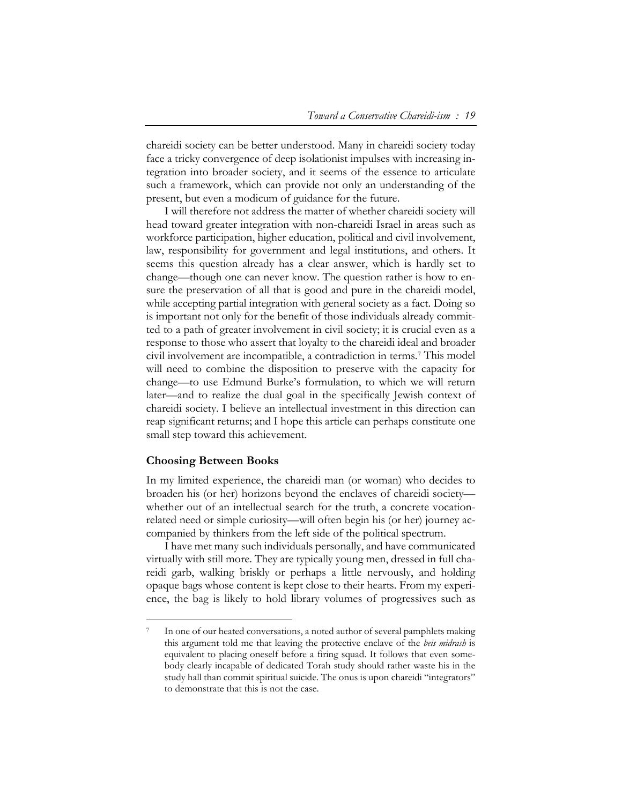chareidi society can be better understood. Many in chareidi society today face a tricky convergence of deep isolationist impulses with increasing integration into broader society, and it seems of the essence to articulate such a framework, which can provide not only an understanding of the present, but even a modicum of guidance for the future.

I will therefore not address the matter of whether chareidi society will head toward greater integration with non-chareidi Israel in areas such as workforce participation, higher education, political and civil involvement, law, responsibility for government and legal institutions, and others. It seems this question already has a clear answer, which is hardly set to change—though one can never know. The question rather is how to ensure the preservation of all that is good and pure in the chareidi model, while accepting partial integration with general society as a fact. Doing so is important not only for the benefit of those individuals already committed to a path of greater involvement in civil society; it is crucial even as a response to those who assert that loyalty to the chareidi ideal and broader civil involvement are incompatible, a contradiction in terms.7 This model will need to combine the disposition to preserve with the capacity for change—to use Edmund Burke's formulation, to which we will return later—and to realize the dual goal in the specifically Jewish context of chareidi society. I believe an intellectual investment in this direction can reap significant returns; and I hope this article can perhaps constitute one small step toward this achievement.

#### **Choosing Between Books**

 $\overline{a}$ 

In my limited experience, the chareidi man (or woman) who decides to broaden his (or her) horizons beyond the enclaves of chareidi society whether out of an intellectual search for the truth, a concrete vocationrelated need or simple curiosity—will often begin his (or her) journey accompanied by thinkers from the left side of the political spectrum.

I have met many such individuals personally, and have communicated virtually with still more. They are typically young men, dressed in full chareidi garb, walking briskly or perhaps a little nervously, and holding opaque bags whose content is kept close to their hearts. From my experience, the bag is likely to hold library volumes of progressives such as

In one of our heated conversations, a noted author of several pamphlets making this argument told me that leaving the protective enclave of the *beis midrash* is equivalent to placing oneself before a firing squad. It follows that even somebody clearly incapable of dedicated Torah study should rather waste his in the study hall than commit spiritual suicide. The onus is upon chareidi "integrators" to demonstrate that this is not the case.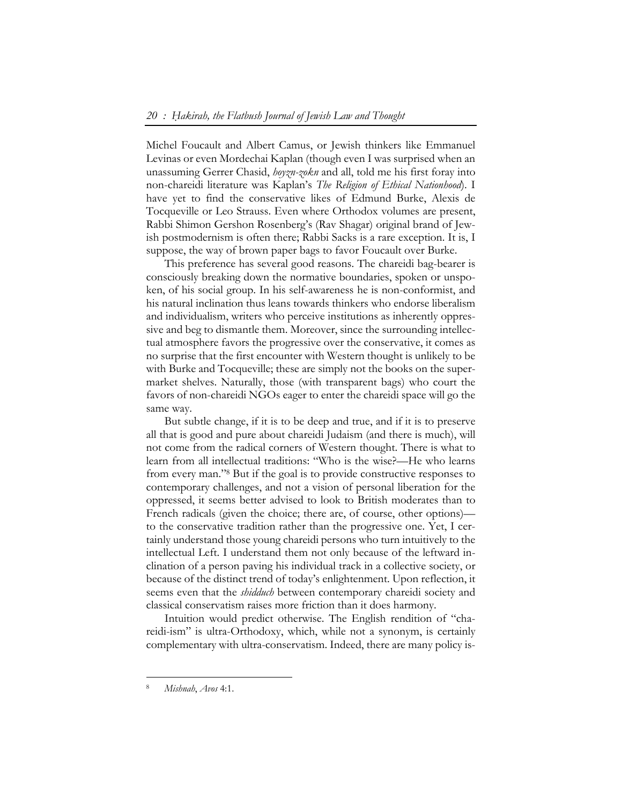Michel Foucault and Albert Camus, or Jewish thinkers like Emmanuel Levinas or even Mordechai Kaplan (though even I was surprised when an unassuming Gerrer Chasid, *hoyzn-zokn* and all, told me his first foray into non-chareidi literature was Kaplan's *The Religion of Ethical Nationhood*). I have yet to find the conservative likes of Edmund Burke, Alexis de Tocqueville or Leo Strauss. Even where Orthodox volumes are present, Rabbi Shimon Gershon Rosenberg's (Rav Shagar) original brand of Jewish postmodernism is often there; Rabbi Sacks is a rare exception. It is, I suppose, the way of brown paper bags to favor Foucault over Burke.

This preference has several good reasons. The chareidi bag-bearer is consciously breaking down the normative boundaries, spoken or unspoken, of his social group. In his self-awareness he is non-conformist, and his natural inclination thus leans towards thinkers who endorse liberalism and individualism, writers who perceive institutions as inherently oppressive and beg to dismantle them. Moreover, since the surrounding intellectual atmosphere favors the progressive over the conservative, it comes as no surprise that the first encounter with Western thought is unlikely to be with Burke and Tocqueville; these are simply not the books on the supermarket shelves. Naturally, those (with transparent bags) who court the favors of non-chareidi NGOs eager to enter the chareidi space will go the same way.

But subtle change, if it is to be deep and true, and if it is to preserve all that is good and pure about chareidi Judaism (and there is much), will not come from the radical corners of Western thought. There is what to learn from all intellectual traditions: "Who is the wise?—He who learns from every man."8 But if the goal is to provide constructive responses to contemporary challenges, and not a vision of personal liberation for the oppressed, it seems better advised to look to British moderates than to French radicals (given the choice; there are, of course, other options) to the conservative tradition rather than the progressive one. Yet, I certainly understand those young chareidi persons who turn intuitively to the intellectual Left. I understand them not only because of the leftward inclination of a person paving his individual track in a collective society, or because of the distinct trend of today's enlightenment. Upon reflection, it seems even that the *shidduch* between contemporary chareidi society and classical conservatism raises more friction than it does harmony.

Intuition would predict otherwise. The English rendition of "chareidi-ism" is ultra-Orthodoxy, which, while not a synonym, is certainly complementary with ultra-conservatism. Indeed, there are many policy is-

<sup>8</sup> *Mishnah*, *Avos* 4:1.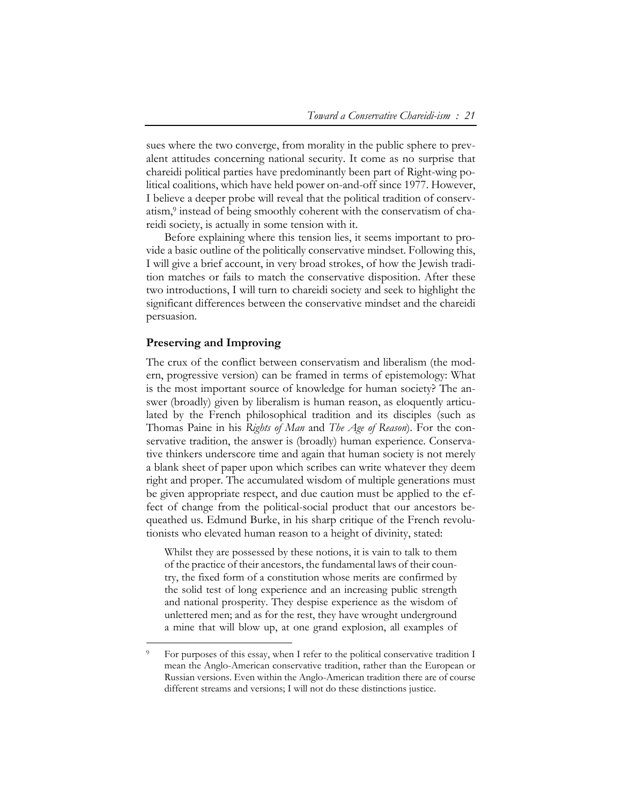sues where the two converge, from morality in the public sphere to prevalent attitudes concerning national security. It come as no surprise that chareidi political parties have predominantly been part of Right-wing political coalitions, which have held power on-and-off since 1977. However, I believe a deeper probe will reveal that the political tradition of conservatism,9 instead of being smoothly coherent with the conservatism of chareidi society, is actually in some tension with it.

Before explaining where this tension lies, it seems important to provide a basic outline of the politically conservative mindset. Following this, I will give a brief account, in very broad strokes, of how the Jewish tradition matches or fails to match the conservative disposition. After these two introductions, I will turn to chareidi society and seek to highlight the significant differences between the conservative mindset and the chareidi persuasion.

#### **Preserving and Improving**

 $\overline{a}$ 

The crux of the conflict between conservatism and liberalism (the modern, progressive version) can be framed in terms of epistemology: What is the most important source of knowledge for human society? The answer (broadly) given by liberalism is human reason, as eloquently articulated by the French philosophical tradition and its disciples (such as Thomas Paine in his *Rights of Man* and *The Age of Reason*). For the conservative tradition, the answer is (broadly) human experience. Conservative thinkers underscore time and again that human society is not merely a blank sheet of paper upon which scribes can write whatever they deem right and proper. The accumulated wisdom of multiple generations must be given appropriate respect, and due caution must be applied to the effect of change from the political-social product that our ancestors bequeathed us. Edmund Burke, in his sharp critique of the French revolutionists who elevated human reason to a height of divinity, stated:

Whilst they are possessed by these notions, it is vain to talk to them of the practice of their ancestors, the fundamental laws of their country, the fixed form of a constitution whose merits are confirmed by the solid test of long experience and an increasing public strength and national prosperity. They despise experience as the wisdom of unlettered men; and as for the rest, they have wrought underground a mine that will blow up, at one grand explosion, all examples of

For purposes of this essay, when I refer to the political conservative tradition I mean the Anglo-American conservative tradition, rather than the European or Russian versions. Even within the Anglo-American tradition there are of course different streams and versions; I will not do these distinctions justice.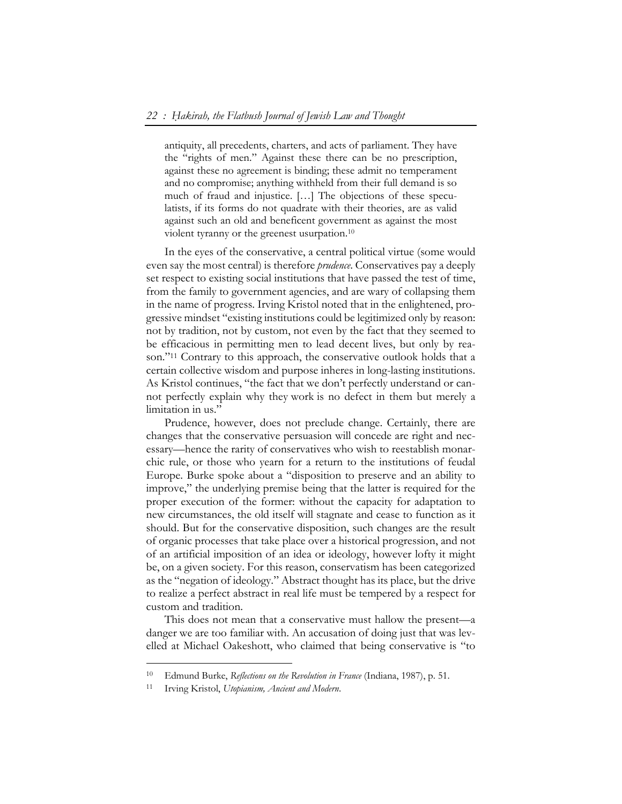antiquity, all precedents, charters, and acts of parliament. They have the "rights of men." Against these there can be no prescription, against these no agreement is binding; these admit no temperament and no compromise; anything withheld from their full demand is so much of fraud and injustice. […] The objections of these speculatists, if its forms do not quadrate with their theories, are as valid against such an old and beneficent government as against the most violent tyranny or the greenest usurpation.10

In the eyes of the conservative, a central political virtue (some would even say the most central) is therefore *prudence*. Conservatives pay a deeply set respect to existing social institutions that have passed the test of time, from the family to government agencies, and are wary of collapsing them in the name of progress. Irving Kristol noted that in the enlightened, progressive mindset "existing institutions could be legitimized only by reason: not by tradition, not by custom, not even by the fact that they seemed to be efficacious in permitting men to lead decent lives, but only by reason."11 Contrary to this approach, the conservative outlook holds that a certain collective wisdom and purpose inheres in long-lasting institutions. As Kristol continues, "the fact that we don't perfectly understand or cannot perfectly explain why they work is no defect in them but merely a limitation in us."

Prudence, however, does not preclude change. Certainly, there are changes that the conservative persuasion will concede are right and necessary—hence the rarity of conservatives who wish to reestablish monarchic rule, or those who yearn for a return to the institutions of feudal Europe. Burke spoke about a "disposition to preserve and an ability to improve," the underlying premise being that the latter is required for the proper execution of the former: without the capacity for adaptation to new circumstances, the old itself will stagnate and cease to function as it should. But for the conservative disposition, such changes are the result of organic processes that take place over a historical progression, and not of an artificial imposition of an idea or ideology, however lofty it might be, on a given society. For this reason, conservatism has been categorized as the "negation of ideology." Abstract thought has its place, but the drive to realize a perfect abstract in real life must be tempered by a respect for custom and tradition.

This does not mean that a conservative must hallow the present—a danger we are too familiar with. An accusation of doing just that was levelled at Michael Oakeshott, who claimed that being conservative is "to

<sup>10</sup> Edmund Burke, *Reflections on the Revolution in France* (Indiana, 1987), p. 51. 11 Irving Kristol, *Utopianism, Ancient and Modern*.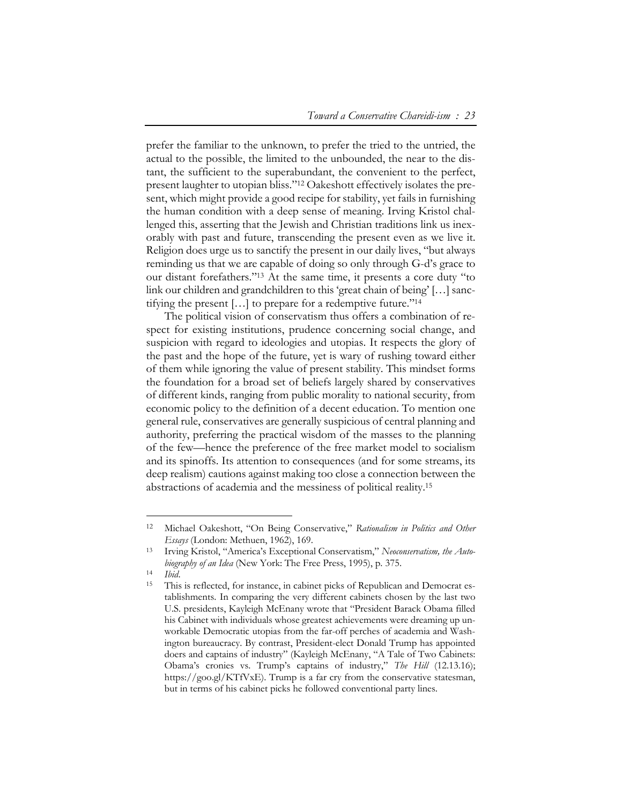prefer the familiar to the unknown, to prefer the tried to the untried, the actual to the possible, the limited to the unbounded, the near to the distant, the sufficient to the superabundant, the convenient to the perfect, present laughter to utopian bliss."12 Oakeshott effectively isolates the present, which might provide a good recipe for stability, yet fails in furnishing the human condition with a deep sense of meaning. Irving Kristol challenged this, asserting that the Jewish and Christian traditions link us inexorably with past and future, transcending the present even as we live it. Religion does urge us to sanctify the present in our daily lives, "but always reminding us that we are capable of doing so only through G-d's grace to our distant forefathers."13 At the same time, it presents a core duty "to link our children and grandchildren to this 'great chain of being' […] sanctifying the present […] to prepare for a redemptive future."14

The political vision of conservatism thus offers a combination of respect for existing institutions, prudence concerning social change, and suspicion with regard to ideologies and utopias. It respects the glory of the past and the hope of the future, yet is wary of rushing toward either of them while ignoring the value of present stability. This mindset forms the foundation for a broad set of beliefs largely shared by conservatives of different kinds, ranging from public morality to national security, from economic policy to the definition of a decent education. To mention one general rule, conservatives are generally suspicious of central planning and authority, preferring the practical wisdom of the masses to the planning of the few—hence the preference of the free market model to socialism and its spinoffs. Its attention to consequences (and for some streams, its deep realism) cautions against making too close a connection between the abstractions of academia and the messiness of political reality.15

<sup>12</sup> Michael Oakeshott, "On Being Conservative," *Rationalism in Politics and Other Essays* (London: Methuen, 1962), 169.<br>
<sup>13</sup> Irving Kristol, "America's Exceptional Conservatism," *Neoconservatism, the Auto-*

*biography of an Idea* (New York: The Free Press, 1995), p. 375.<br><sup>14</sup> *Ibid.* 15 This is reflected, for instance, in cabinet picks of Republican and Democrat es-

tablishments. In comparing the very different cabinets chosen by the last two U.S. presidents, Kayleigh McEnany wrote that "President Barack Obama filled his Cabinet with individuals whose greatest achievements were dreaming up unworkable Democratic utopias from the far-off perches of academia and Washington bureaucracy. By contrast, President-elect Donald Trump has appointed doers and captains of industry" (Kayleigh McEnany, "A Tale of Two Cabinets: Obama's cronies vs. Trump's captains of industry," *The Hill* (12.13.16); https://goo.gl/KTfVxE). Trump is a far cry from the conservative statesman, but in terms of his cabinet picks he followed conventional party lines.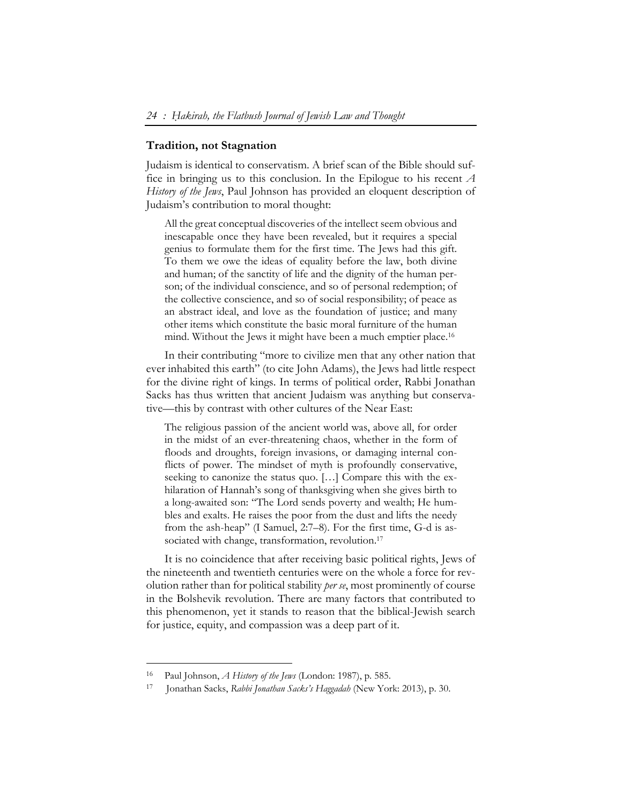### **Tradition, not Stagnation**

Judaism is identical to conservatism. A brief scan of the Bible should suffice in bringing us to this conclusion. In the Epilogue to his recent *A History of the Jews*, Paul Johnson has provided an eloquent description of Judaism's contribution to moral thought:

All the great conceptual discoveries of the intellect seem obvious and inescapable once they have been revealed, but it requires a special genius to formulate them for the first time. The Jews had this gift. To them we owe the ideas of equality before the law, both divine and human; of the sanctity of life and the dignity of the human person; of the individual conscience, and so of personal redemption; of the collective conscience, and so of social responsibility; of peace as an abstract ideal, and love as the foundation of justice; and many other items which constitute the basic moral furniture of the human mind. Without the Jews it might have been a much emptier place.<sup>16</sup>

In their contributing "more to civilize men that any other nation that ever inhabited this earth" (to cite John Adams), the Jews had little respect for the divine right of kings. In terms of political order, Rabbi Jonathan Sacks has thus written that ancient Judaism was anything but conservative—this by contrast with other cultures of the Near East:

The religious passion of the ancient world was, above all, for order in the midst of an ever-threatening chaos, whether in the form of floods and droughts, foreign invasions, or damaging internal conflicts of power. The mindset of myth is profoundly conservative, seeking to canonize the status quo. […] Compare this with the exhilaration of Hannah's song of thanksgiving when she gives birth to a long-awaited son: "The Lord sends poverty and wealth; He humbles and exalts. He raises the poor from the dust and lifts the needy from the ash-heap" (I Samuel, 2:7–8). For the first time, G-d is associated with change, transformation, revolution.<sup>17</sup>

It is no coincidence that after receiving basic political rights, Jews of the nineteenth and twentieth centuries were on the whole a force for revolution rather than for political stability *per se*, most prominently of course in the Bolshevik revolution. There are many factors that contributed to this phenomenon, yet it stands to reason that the biblical-Jewish search for justice, equity, and compassion was a deep part of it.

<sup>16</sup> Paul Johnson, *A History of the Jews* (London: 1987), p. 585.

<sup>17</sup> Jonathan Sacks, *Rabbi Jonathan Sacks's Haggadah* (New York: 2013), p. 30.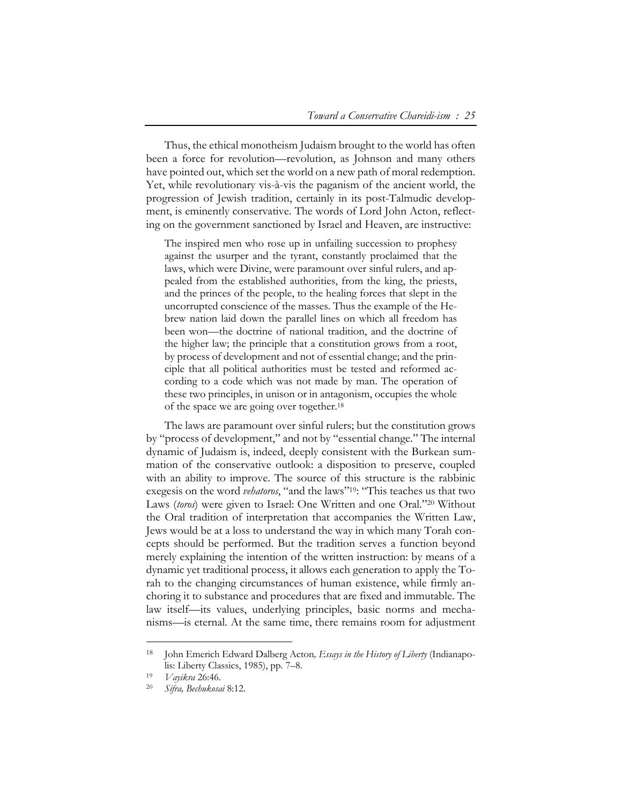Thus, the ethical monotheism Judaism brought to the world has often been a force for revolution—revolution, as Johnson and many others have pointed out, which set the world on a new path of moral redemption. Yet, while revolutionary vis-à-vis the paganism of the ancient world, the progression of Jewish tradition, certainly in its post-Talmudic development, is eminently conservative. The words of Lord John Acton, reflecting on the government sanctioned by Israel and Heaven, are instructive:

The inspired men who rose up in unfailing succession to prophesy against the usurper and the tyrant, constantly proclaimed that the laws, which were Divine, were paramount over sinful rulers, and appealed from the established authorities, from the king, the priests, and the princes of the people, to the healing forces that slept in the uncorrupted conscience of the masses. Thus the example of the Hebrew nation laid down the parallel lines on which all freedom has been won—the doctrine of national tradition, and the doctrine of the higher law; the principle that a constitution grows from a root, by process of development and not of essential change; and the principle that all political authorities must be tested and reformed according to a code which was not made by man. The operation of these two principles, in unison or in antagonism, occupies the whole of the space we are going over together.18

The laws are paramount over sinful rulers; but the constitution grows by "process of development," and not by "essential change." The internal dynamic of Judaism is, indeed, deeply consistent with the Burkean summation of the conservative outlook: a disposition to preserve, coupled with an ability to improve. The source of this structure is the rabbinic exegesis on the word *vehatoros*, "and the laws"19: "This teaches us that two Laws (*toros*) were given to Israel: One Written and one Oral."20 Without the Oral tradition of interpretation that accompanies the Written Law, Jews would be at a loss to understand the way in which many Torah concepts should be performed. But the tradition serves a function beyond merely explaining the intention of the written instruction: by means of a dynamic yet traditional process, it allows each generation to apply the Torah to the changing circumstances of human existence, while firmly anchoring it to substance and procedures that are fixed and immutable. The law itself—its values, underlying principles, basic norms and mechanisms—is eternal. At the same time, there remains room for adjustment

<sup>18</sup> John Emerich Edward Dalberg Acton*, Essays in the History of Liberty* (Indianapolis: Liberty Classics, 1985), pp. 7–8.

<sup>19</sup> *Vayikra* 26:46. 20 *Sifra, Bechukosai* 8:12.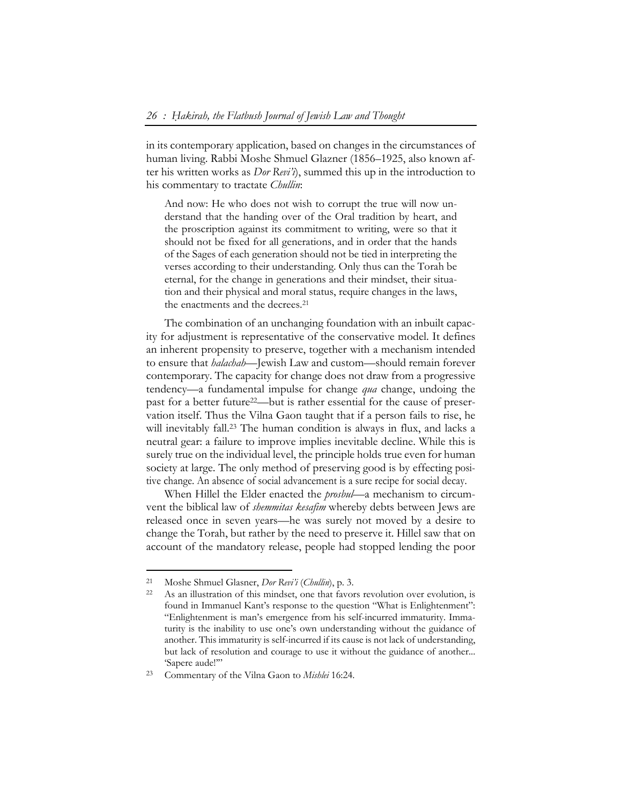in its contemporary application, based on changes in the circumstances of human living. Rabbi Moshe Shmuel Glazner (1856–1925, also known after his written works as *Dor Revi'i*), summed this up in the introduction to his commentary to tractate *Chullin*:

And now: He who does not wish to corrupt the true will now understand that the handing over of the Oral tradition by heart, and the proscription against its commitment to writing, were so that it should not be fixed for all generations, and in order that the hands of the Sages of each generation should not be tied in interpreting the verses according to their understanding. Only thus can the Torah be eternal, for the change in generations and their mindset, their situation and their physical and moral status, require changes in the laws, the enactments and the decrees.21

The combination of an unchanging foundation with an inbuilt capacity for adjustment is representative of the conservative model. It defines an inherent propensity to preserve, together with a mechanism intended to ensure that *halachah*—Jewish Law and custom—should remain forever contemporary. The capacity for change does not draw from a progressive tendency—a fundamental impulse for change *qua* change, undoing the past for a better future22—but is rather essential for the cause of preservation itself. Thus the Vilna Gaon taught that if a person fails to rise, he will inevitably fall.<sup>23</sup> The human condition is always in flux, and lacks a neutral gear: a failure to improve implies inevitable decline. While this is surely true on the individual level, the principle holds true even for human society at large. The only method of preserving good is by effecting positive change. An absence of social advancement is a sure recipe for social decay.

When Hillel the Elder enacted the *prosbul*—a mechanism to circumvent the biblical law of *shemmitas kesafim* whereby debts between Jews are released once in seven years—he was surely not moved by a desire to change the Torah, but rather by the need to preserve it. Hillel saw that on account of the mandatory release, people had stopped lending the poor

<sup>21</sup> Moshe Shmuel Glasner, *Dor Revi'i* (*Chullin*), p. 3.<br>22 As an illustration of this mindset, one that favors revolution over evolution, is found in Immanuel Kant's response to the question "What is Enlightenment": "Enlightenment is man's emergence from his self-incurred immaturity. Immaturity is the inability to use one's own understanding without the guidance of another. This immaturity is self-incurred if its cause is not lack of understanding, but lack of resolution and courage to use it without the guidance of another... 'Sapere aude!'"

<sup>23</sup> Commentary of the Vilna Gaon to *Mishlei* 16:24.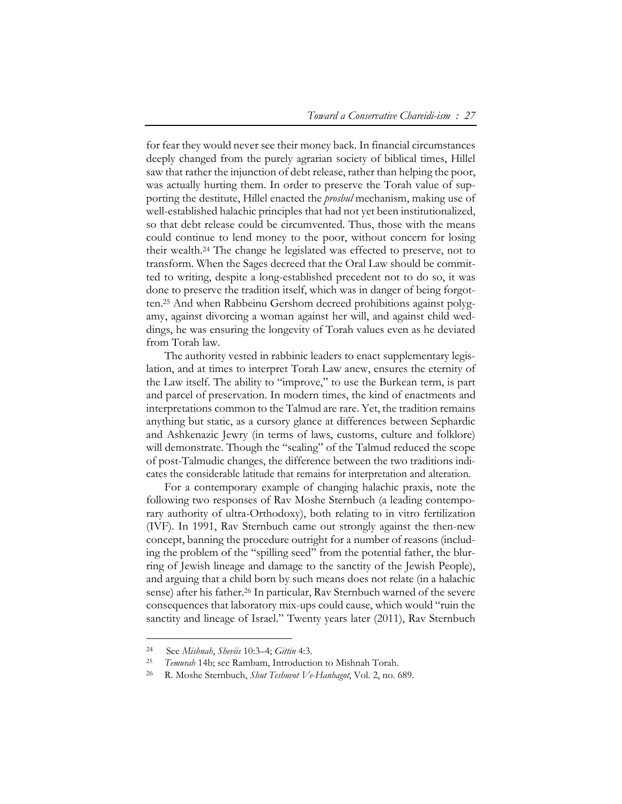for fear they would never see their money back. In financial circumstances deeply changed from the purely agrarian society of biblical times, Hillel saw that rather the injunction of debt release, rather than helping the poor, was actually hurting them. In order to preserve the Torah value of supporting the destitute, Hillel enacted the *prosbul* mechanism, making use of well-established halachic principles that had not yet been institutionalized, so that debt release could be circumvented. Thus, those with the means could continue to lend money to the poor, without concern for losing their wealth.24 The change he legislated was effected to preserve, not to transform. When the Sages decreed that the Oral Law should be committed to writing, despite a long-established precedent not to do so, it was done to preserve the tradition itself, which was in danger of being forgotten.25 And when Rabbeinu Gershom decreed prohibitions against polygamy, against divorcing a woman against her will, and against child weddings, he was ensuring the longevity of Torah values even as he deviated from Torah law.

The authority vested in rabbinic leaders to enact supplementary legislation, and at times to interpret Torah Law anew, ensures the eternity of the Law itself. The ability to "improve," to use the Burkean term, is part and parcel of preservation. In modern times, the kind of enactments and interpretations common to the Talmud are rare. Yet, the tradition remains anything but static, as a cursory glance at differences between Sephardic and Ashkenazic Jewry (in terms of laws, customs, culture and folklore) will demonstrate. Though the "sealing" of the Talmud reduced the scope of post-Talmudic changes, the difference between the two traditions indicates the considerable latitude that remains for interpretation and alteration.

For a contemporary example of changing halachic praxis, note the following two responses of Rav Moshe Sternbuch (a leading contemporary authority of ultra-Orthodoxy), both relating to in vitro fertilization (IVF). In 1991, Rav Sternbuch came out strongly against the then-new concept, banning the procedure outright for a number of reasons (including the problem of the "spilling seed" from the potential father, the blurring of Jewish lineage and damage to the sanctity of the Jewish People), and arguing that a child born by such means does not relate (in a halachic sense) after his father.<sup>26</sup> In particular, Rav Sternbuch warned of the severe consequences that laboratory mix-ups could cause, which would "ruin the sanctity and lineage of Israel." Twenty years later (2011), Rav Sternbuch

<sup>24</sup> See *Mishnah*, *Sheviis* 10:3–4; *Gittin* 4:3. 25 *Temurah* 14b; see Rambam, Introduction to Mishnah Torah.

<sup>26</sup> R. Moshe Sternbuch, *Shut Teshuvot Ve-Hanhagot*, Vol. 2, no. 689.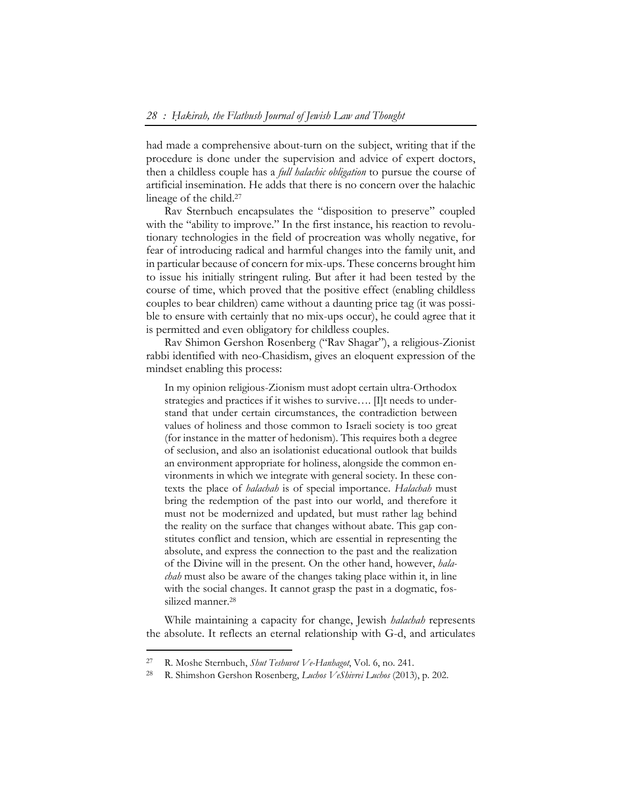had made a comprehensive about-turn on the subject, writing that if the procedure is done under the supervision and advice of expert doctors, then a childless couple has a *full halachic obligation* to pursue the course of artificial insemination. He adds that there is no concern over the halachic lineage of the child.27

Rav Sternbuch encapsulates the "disposition to preserve" coupled with the "ability to improve." In the first instance, his reaction to revolutionary technologies in the field of procreation was wholly negative, for fear of introducing radical and harmful changes into the family unit, and in particular because of concern for mix-ups. These concerns brought him to issue his initially stringent ruling. But after it had been tested by the course of time, which proved that the positive effect (enabling childless couples to bear children) came without a daunting price tag (it was possible to ensure with certainly that no mix-ups occur), he could agree that it is permitted and even obligatory for childless couples.

Rav Shimon Gershon Rosenberg ("Rav Shagar"), a religious-Zionist rabbi identified with neo-Chasidism, gives an eloquent expression of the mindset enabling this process:

In my opinion religious-Zionism must adopt certain ultra-Orthodox strategies and practices if it wishes to survive…. [I]t needs to understand that under certain circumstances, the contradiction between values of holiness and those common to Israeli society is too great (for instance in the matter of hedonism). This requires both a degree of seclusion, and also an isolationist educational outlook that builds an environment appropriate for holiness, alongside the common environments in which we integrate with general society. In these contexts the place of *halachah* is of special importance. *Halachah* must bring the redemption of the past into our world, and therefore it must not be modernized and updated, but must rather lag behind the reality on the surface that changes without abate. This gap constitutes conflict and tension, which are essential in representing the absolute, and express the connection to the past and the realization of the Divine will in the present. On the other hand, however, *halachah* must also be aware of the changes taking place within it, in line with the social changes. It cannot grasp the past in a dogmatic, fossilized manner.28

While maintaining a capacity for change, Jewish *halachah* represents the absolute. It reflects an eternal relationship with G-d, and articulates

<sup>27</sup> R. Moshe Sternbuch, *Shut Teshuvot Ve-Hanhagot*, Vol. 6, no. 241.

<sup>28</sup> R. Shimshon Gershon Rosenberg, *Luchos VeShivrei Luchos* (2013), p. 202.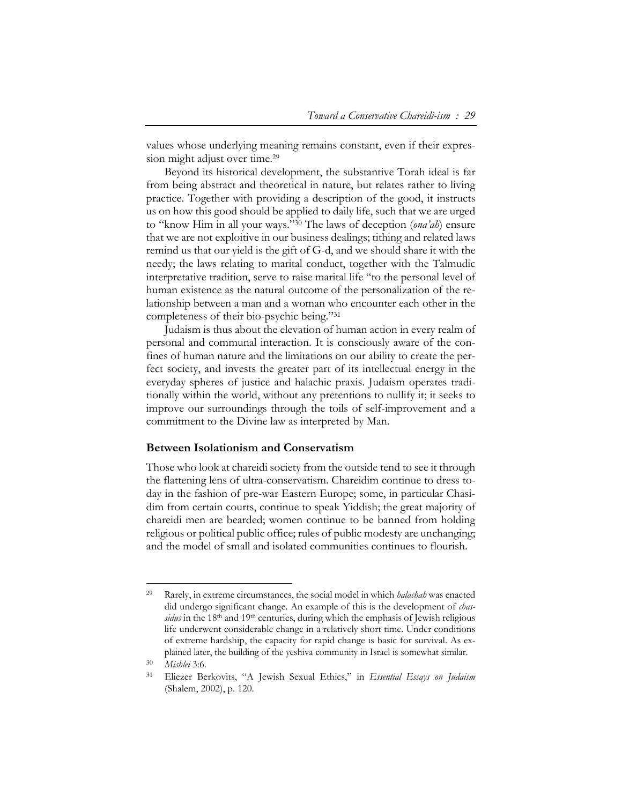values whose underlying meaning remains constant, even if their expression might adjust over time.<sup>29</sup>

Beyond its historical development, the substantive Torah ideal is far from being abstract and theoretical in nature, but relates rather to living practice. Together with providing a description of the good, it instructs us on how this good should be applied to daily life, such that we are urged to "know Him in all your ways."30 The laws of deception (*ona'ah*) ensure that we are not exploitive in our business dealings; tithing and related laws remind us that our yield is the gift of G-d, and we should share it with the needy; the laws relating to marital conduct, together with the Talmudic interpretative tradition, serve to raise marital life "to the personal level of human existence as the natural outcome of the personalization of the relationship between a man and a woman who encounter each other in the completeness of their bio-psychic being."31

Judaism is thus about the elevation of human action in every realm of personal and communal interaction. It is consciously aware of the confines of human nature and the limitations on our ability to create the perfect society, and invests the greater part of its intellectual energy in the everyday spheres of justice and halachic praxis. Judaism operates traditionally within the world, without any pretentions to nullify it; it seeks to improve our surroundings through the toils of self-improvement and a commitment to the Divine law as interpreted by Man.

#### **Between Isolationism and Conservatism**

Those who look at chareidi society from the outside tend to see it through the flattening lens of ultra-conservatism. Chareidim continue to dress today in the fashion of pre-war Eastern Europe; some, in particular Chasidim from certain courts, continue to speak Yiddish; the great majority of chareidi men are bearded; women continue to be banned from holding religious or political public office; rules of public modesty are unchanging; and the model of small and isolated communities continues to flourish.

<sup>29</sup> Rarely, in extreme circumstances, the social model in which *halachah* was enacted did undergo significant change. An example of this is the development of *chassidus* in the 18th and 19th centuries, during which the emphasis of Jewish religious life underwent considerable change in a relatively short time. Under conditions of extreme hardship, the capacity for rapid change is basic for survival. As explained later, the building of the yeshiva community in Israel is somewhat similar.

<sup>30</sup> *Mishlei* 3:6.

<sup>31</sup> Eliezer Berkovits, "A Jewish Sexual Ethics," in *Essential Essays on Judaism* (Shalem, 2002), p. 120.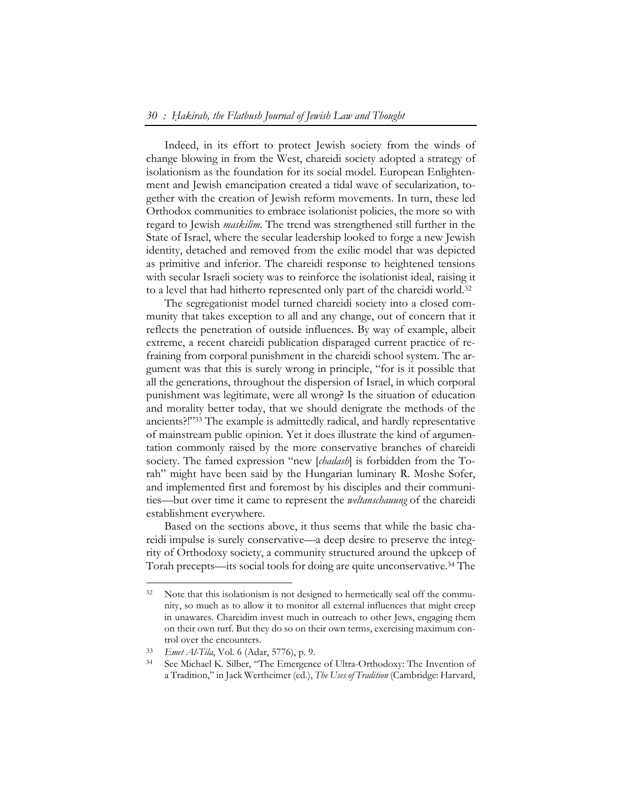Indeed, in its effort to protect Jewish society from the winds of change blowing in from the West, chareidi society adopted a strategy of isolationism as the foundation for its social model. European Enlightenment and Jewish emancipation created a tidal wave of secularization, together with the creation of Jewish reform movements. In turn, these led Orthodox communities to embrace isolationist policies, the more so with regard to Jewish *maskilim*. The trend was strengthened still further in the State of Israel, where the secular leadership looked to forge a new Jewish identity, detached and removed from the exilic model that was depicted as primitive and inferior. The chareidi response to heightened tensions with secular Israeli society was to reinforce the isolationist ideal, raising it to a level that had hitherto represented only part of the chareidi world.32

The segregationist model turned chareidi society into a closed community that takes exception to all and any change, out of concern that it reflects the penetration of outside influences. By way of example, albeit extreme, a recent chareidi publication disparaged current practice of refraining from corporal punishment in the chareidi school system. The argument was that this is surely wrong in principle, "for is it possible that all the generations, throughout the dispersion of Israel, in which corporal punishment was legitimate, were all wrong? Is the situation of education and morality better today, that we should denigrate the methods of the ancients?!"33 The example is admittedly radical, and hardly representative of mainstream public opinion. Yet it does illustrate the kind of argumentation commonly raised by the more conservative branches of chareidi society. The famed expression "new [*chadash*] is forbidden from the Torah" might have been said by the Hungarian luminary R. Moshe Sofer, and implemented first and foremost by his disciples and their communities—but over time it came to represent the *weltanschauung* of the chareidi establishment everywhere.

Based on the sections above, it thus seems that while the basic chareidi impulse is surely conservative—a deep desire to preserve the integrity of Orthodoxy society, a community structured around the upkeep of Torah precepts—its social tools for doing are quite unconservative.34 The

<sup>&</sup>lt;sup>32</sup> Note that this isolationism is not designed to hermetically seal off the community, so much as to allow it to monitor all external influences that might creep in unawares. Chareidim invest much in outreach to other Jews, engaging them on their own turf. But they do so on their own terms, exercising maximum control over the encounters.

<sup>33</sup>*Emet Al-Tila*, Vol. 6 (Adar, 5776), p. 9. 34 See Michael K. Silber, "The Emergence of Ultra-Orthodoxy: The Invention of a Tradition," in Jack Wertheimer (ed.), *The Uses of Tradition* (Cambridge: Harvard,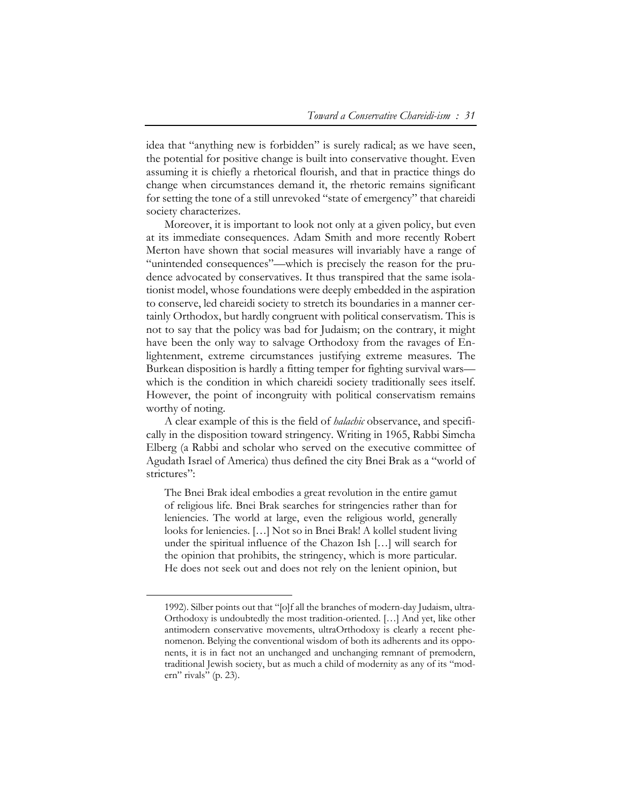idea that "anything new is forbidden" is surely radical; as we have seen, the potential for positive change is built into conservative thought. Even assuming it is chiefly a rhetorical flourish, and that in practice things do change when circumstances demand it, the rhetoric remains significant for setting the tone of a still unrevoked "state of emergency" that chareidi society characterizes.

Moreover, it is important to look not only at a given policy, but even at its immediate consequences. Adam Smith and more recently Robert Merton have shown that social measures will invariably have a range of "unintended consequences"—which is precisely the reason for the prudence advocated by conservatives. It thus transpired that the same isolationist model, whose foundations were deeply embedded in the aspiration to conserve, led chareidi society to stretch its boundaries in a manner certainly Orthodox, but hardly congruent with political conservatism. This is not to say that the policy was bad for Judaism; on the contrary, it might have been the only way to salvage Orthodoxy from the ravages of Enlightenment, extreme circumstances justifying extreme measures. The Burkean disposition is hardly a fitting temper for fighting survival wars which is the condition in which chareidi society traditionally sees itself. However, the point of incongruity with political conservatism remains worthy of noting.

A clear example of this is the field of *halachic* observance, and specifically in the disposition toward stringency. Writing in 1965, Rabbi Simcha Elberg (a Rabbi and scholar who served on the executive committee of Agudath Israel of America) thus defined the city Bnei Brak as a "world of strictures":

The Bnei Brak ideal embodies a great revolution in the entire gamut of religious life. Bnei Brak searches for stringencies rather than for leniencies. The world at large, even the religious world, generally looks for leniencies. […] Not so in Bnei Brak! A kollel student living under the spiritual influence of the Chazon Ish […] will search for the opinion that prohibits, the stringency, which is more particular. He does not seek out and does not rely on the lenient opinion, but

<sup>1992).</sup> Silber points out that "[o]f all the branches of modern-day Judaism, ultra-Orthodoxy is undoubtedly the most tradition-oriented. […] And yet, like other antimodern conservative movements, ultraOrthodoxy is clearly a recent phenomenon. Belying the conventional wisdom of both its adherents and its opponents, it is in fact not an unchanged and unchanging remnant of premodern, traditional Jewish society, but as much a child of modernity as any of its "modern" rivals" (p. 23).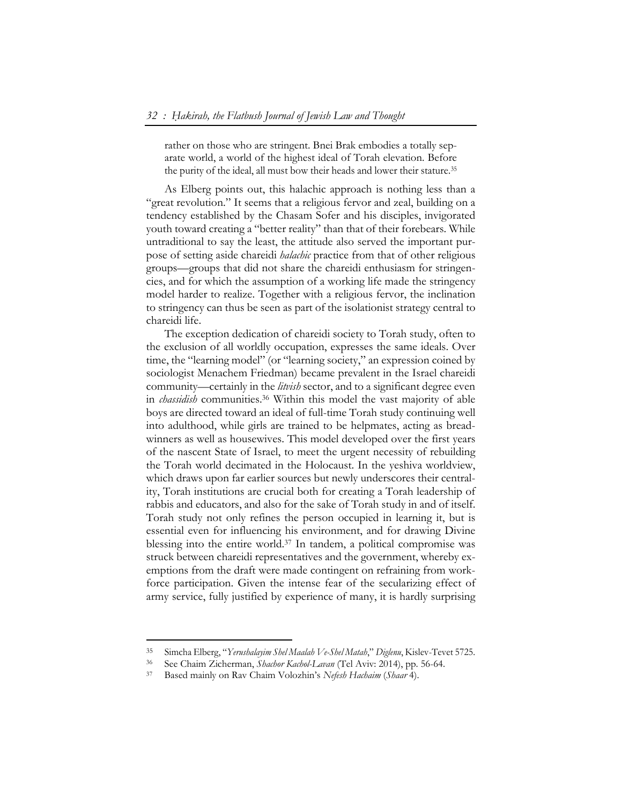rather on those who are stringent. Bnei Brak embodies a totally separate world, a world of the highest ideal of Torah elevation. Before the purity of the ideal, all must bow their heads and lower their stature.35

As Elberg points out, this halachic approach is nothing less than a "great revolution." It seems that a religious fervor and zeal, building on a tendency established by the Chasam Sofer and his disciples, invigorated youth toward creating a "better reality" than that of their forebears. While untraditional to say the least, the attitude also served the important purpose of setting aside chareidi *halachic* practice from that of other religious groups—groups that did not share the chareidi enthusiasm for stringencies, and for which the assumption of a working life made the stringency model harder to realize. Together with a religious fervor, the inclination to stringency can thus be seen as part of the isolationist strategy central to chareidi life.

The exception dedication of chareidi society to Torah study, often to the exclusion of all worldly occupation, expresses the same ideals. Over time, the "learning model" (or "learning society," an expression coined by sociologist Menachem Friedman) became prevalent in the Israel chareidi community—certainly in the *litvish* sector, and to a significant degree even in *chassidish* communities.36 Within this model the vast majority of able boys are directed toward an ideal of full-time Torah study continuing well into adulthood, while girls are trained to be helpmates, acting as breadwinners as well as housewives. This model developed over the first years of the nascent State of Israel, to meet the urgent necessity of rebuilding the Torah world decimated in the Holocaust. In the yeshiva worldview, which draws upon far earlier sources but newly underscores their centrality, Torah institutions are crucial both for creating a Torah leadership of rabbis and educators, and also for the sake of Torah study in and of itself. Torah study not only refines the person occupied in learning it, but is essential even for influencing his environment, and for drawing Divine blessing into the entire world.37 In tandem, a political compromise was struck between chareidi representatives and the government, whereby exemptions from the draft were made contingent on refraining from workforce participation. Given the intense fear of the secularizing effect of army service, fully justified by experience of many, it is hardly surprising

<sup>35</sup> Simcha Elberg, "*Yerushalayim Shel Maalah Ve-Shel Matah*," *Diglenu*, Kislev-Tevet 5725.

<sup>36</sup> See Chaim Zicherman, *Shachor Kachol-Lavan* (Tel Aviv: 2014), pp. 56-64. 37 Based mainly on Rav Chaim Volozhin's *Nefesh Hachaim* (*Shaar* 4).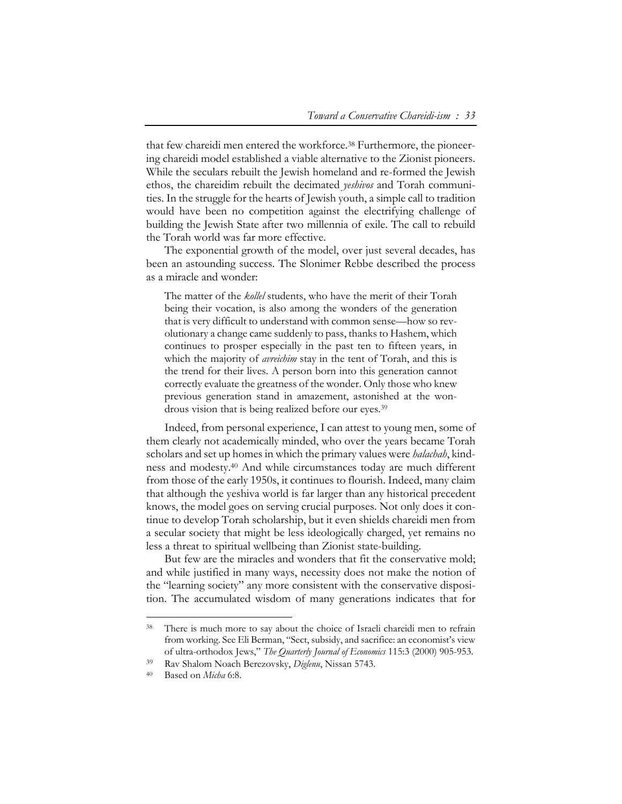that few chareidi men entered the workforce.38 Furthermore, the pioneering chareidi model established a viable alternative to the Zionist pioneers. While the seculars rebuilt the Jewish homeland and re-formed the Jewish ethos, the chareidim rebuilt the decimated *yeshivos* and Torah communities. In the struggle for the hearts of Jewish youth, a simple call to tradition would have been no competition against the electrifying challenge of building the Jewish State after two millennia of exile. The call to rebuild the Torah world was far more effective.

The exponential growth of the model, over just several decades, has been an astounding success. The Slonimer Rebbe described the process as a miracle and wonder:

The matter of the *kollel* students, who have the merit of their Torah being their vocation, is also among the wonders of the generation that is very difficult to understand with common sense—how so revolutionary a change came suddenly to pass, thanks to Hashem, which continues to prosper especially in the past ten to fifteen years, in which the majority of *avreichim* stay in the tent of Torah, and this is the trend for their lives. A person born into this generation cannot correctly evaluate the greatness of the wonder. Only those who knew previous generation stand in amazement, astonished at the wondrous vision that is being realized before our eyes.<sup>39</sup>

Indeed, from personal experience, I can attest to young men, some of them clearly not academically minded, who over the years became Torah scholars and set up homes in which the primary values were *halachah*, kindness and modesty.40 And while circumstances today are much different from those of the early 1950s, it continues to flourish. Indeed, many claim that although the yeshiva world is far larger than any historical precedent knows, the model goes on serving crucial purposes. Not only does it continue to develop Torah scholarship, but it even shields chareidi men from a secular society that might be less ideologically charged, yet remains no less a threat to spiritual wellbeing than Zionist state-building.

But few are the miracles and wonders that fit the conservative mold; and while justified in many ways, necessity does not make the notion of the "learning society" any more consistent with the conservative disposition. The accumulated wisdom of many generations indicates that for

<sup>&</sup>lt;sup>38</sup> There is much more to say about the choice of Israeli chareidi men to refrain from working. See Eli Berman, "Sect, subsidy, and sacrifice: an economist's view of ultra-orthodox Jews," *The Quarterly Journal of Economics* 115:3 (2000) 905-953.

<sup>39</sup> Rav Shalom Noach Berezovsky, *Diglenu*, Nissan 5743. 40 Based on *Micha* 6:8.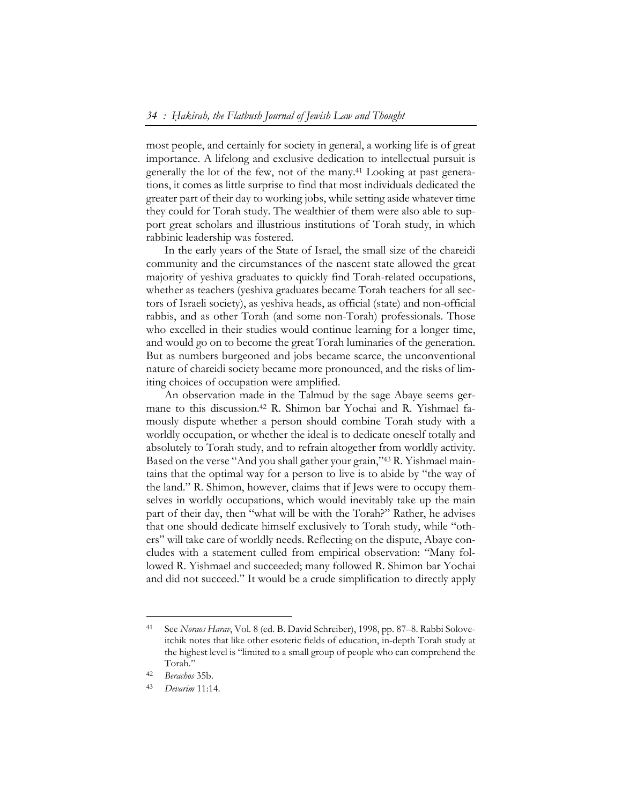most people, and certainly for society in general, a working life is of great importance. A lifelong and exclusive dedication to intellectual pursuit is generally the lot of the few, not of the many.41 Looking at past generations, it comes as little surprise to find that most individuals dedicated the greater part of their day to working jobs, while setting aside whatever time they could for Torah study. The wealthier of them were also able to support great scholars and illustrious institutions of Torah study, in which rabbinic leadership was fostered.

In the early years of the State of Israel, the small size of the chareidi community and the circumstances of the nascent state allowed the great majority of yeshiva graduates to quickly find Torah-related occupations, whether as teachers (yeshiva graduates became Torah teachers for all sectors of Israeli society), as yeshiva heads, as official (state) and non-official rabbis, and as other Torah (and some non-Torah) professionals. Those who excelled in their studies would continue learning for a longer time, and would go on to become the great Torah luminaries of the generation. But as numbers burgeoned and jobs became scarce, the unconventional nature of chareidi society became more pronounced, and the risks of limiting choices of occupation were amplified.

An observation made in the Talmud by the sage Abaye seems germane to this discussion.42 R. Shimon bar Yochai and R. Yishmael famously dispute whether a person should combine Torah study with a worldly occupation, or whether the ideal is to dedicate oneself totally and absolutely to Torah study, and to refrain altogether from worldly activity. Based on the verse "And you shall gather your grain,"43 R. Yishmael maintains that the optimal way for a person to live is to abide by "the way of the land." R. Shimon, however, claims that if Jews were to occupy themselves in worldly occupations, which would inevitably take up the main part of their day, then "what will be with the Torah?" Rather, he advises that one should dedicate himself exclusively to Torah study, while "others" will take care of worldly needs. Reflecting on the dispute, Abaye concludes with a statement culled from empirical observation: "Many followed R. Yishmael and succeeded; many followed R. Shimon bar Yochai and did not succeed." It would be a crude simplification to directly apply

<sup>41</sup> See *Noraos Harav*, Vol. 8 (ed. B. David Schreiber), 1998, pp. 87–8. Rabbi Soloveitchik notes that like other esoteric fields of education, in-depth Torah study at the highest level is "limited to a small group of people who can comprehend the Torah."

<sup>42</sup> *Berachos* 35b.

<sup>43</sup> *Devarim* 11:14.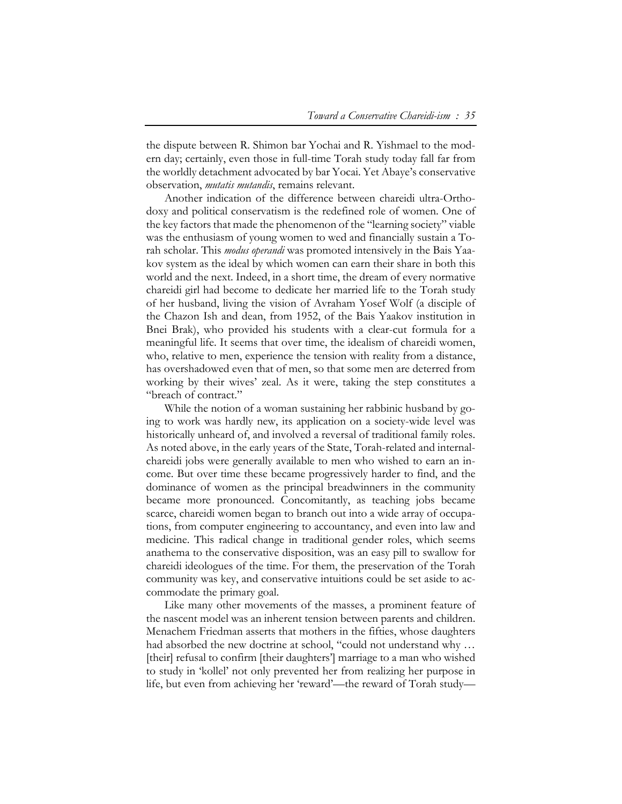the dispute between R. Shimon bar Yochai and R. Yishmael to the modern day; certainly, even those in full-time Torah study today fall far from the worldly detachment advocated by bar Yocai. Yet Abaye's conservative observation, *mutatis mutandis*, remains relevant.

Another indication of the difference between chareidi ultra-Orthodoxy and political conservatism is the redefined role of women. One of the key factors that made the phenomenon of the "learning society" viable was the enthusiasm of young women to wed and financially sustain a Torah scholar. This *modus operandi* was promoted intensively in the Bais Yaakov system as the ideal by which women can earn their share in both this world and the next. Indeed, in a short time, the dream of every normative chareidi girl had become to dedicate her married life to the Torah study of her husband, living the vision of Avraham Yosef Wolf (a disciple of the Chazon Ish and dean, from 1952, of the Bais Yaakov institution in Bnei Brak), who provided his students with a clear-cut formula for a meaningful life. It seems that over time, the idealism of chareidi women, who, relative to men, experience the tension with reality from a distance, has overshadowed even that of men, so that some men are deterred from working by their wives' zeal. As it were, taking the step constitutes a "breach of contract."

While the notion of a woman sustaining her rabbinic husband by going to work was hardly new, its application on a society-wide level was historically unheard of, and involved a reversal of traditional family roles. As noted above, in the early years of the State, Torah-related and internalchareidi jobs were generally available to men who wished to earn an income. But over time these became progressively harder to find, and the dominance of women as the principal breadwinners in the community became more pronounced. Concomitantly, as teaching jobs became scarce, chareidi women began to branch out into a wide array of occupations, from computer engineering to accountancy, and even into law and medicine. This radical change in traditional gender roles, which seems anathema to the conservative disposition, was an easy pill to swallow for chareidi ideologues of the time. For them, the preservation of the Torah community was key, and conservative intuitions could be set aside to accommodate the primary goal.

Like many other movements of the masses, a prominent feature of the nascent model was an inherent tension between parents and children. Menachem Friedman asserts that mothers in the fifties, whose daughters had absorbed the new doctrine at school, "could not understand why … [their] refusal to confirm [their daughters'] marriage to a man who wished to study in 'kollel' not only prevented her from realizing her purpose in life, but even from achieving her 'reward'—the reward of Torah study—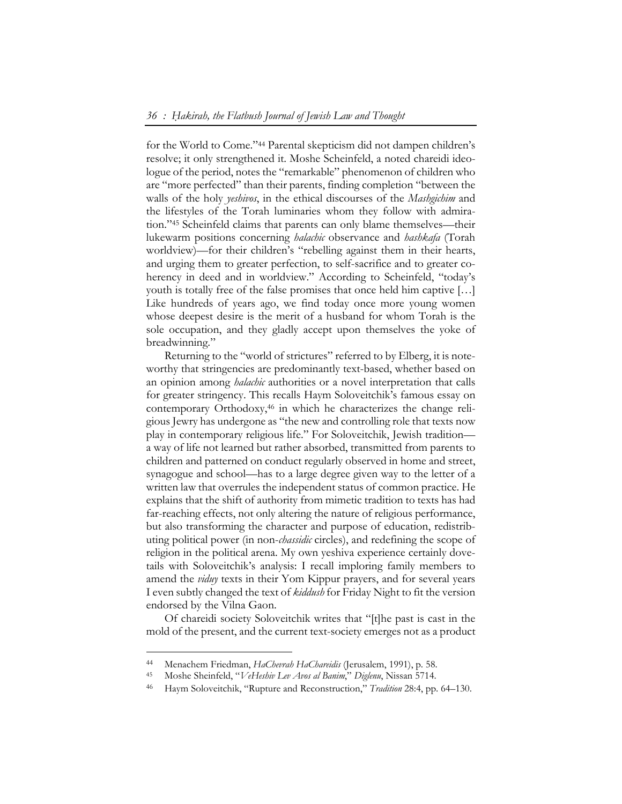for the World to Come."44 Parental skepticism did not dampen children's resolve; it only strengthened it. Moshe Scheinfeld, a noted chareidi ideologue of the period, notes the "remarkable" phenomenon of children who are "more perfected" than their parents, finding completion "between the walls of the holy *yeshivos*, in the ethical discourses of the *Mashgichim* and the lifestyles of the Torah luminaries whom they follow with admiration."45 Scheinfeld claims that parents can only blame themselves—their lukewarm positions concerning *halachic* observance and *hashkafa* (Torah worldview)—for their children's "rebelling against them in their hearts, and urging them to greater perfection, to self-sacrifice and to greater coherency in deed and in worldview." According to Scheinfeld, "today's youth is totally free of the false promises that once held him captive […] Like hundreds of years ago, we find today once more young women whose deepest desire is the merit of a husband for whom Torah is the sole occupation, and they gladly accept upon themselves the yoke of breadwinning."

Returning to the "world of strictures" referred to by Elberg, it is noteworthy that stringencies are predominantly text-based, whether based on an opinion among *halachic* authorities or a novel interpretation that calls for greater stringency. This recalls Haym Soloveitchik's famous essay on contemporary Orthodoxy,46 in which he characterizes the change religious Jewry has undergone as "the new and controlling role that texts now play in contemporary religious life." For Soloveitchik, Jewish tradition a way of life not learned but rather absorbed, transmitted from parents to children and patterned on conduct regularly observed in home and street, synagogue and school—has to a large degree given way to the letter of a written law that overrules the independent status of common practice. He explains that the shift of authority from mimetic tradition to texts has had far-reaching effects, not only altering the nature of religious performance, but also transforming the character and purpose of education, redistributing political power (in non-*chassidic* circles), and redefining the scope of religion in the political arena. My own yeshiva experience certainly dovetails with Soloveitchik's analysis: I recall imploring family members to amend the *viduy* texts in their Yom Kippur prayers, and for several years I even subtly changed the text of *kiddush* for Friday Night to fit the version endorsed by the Vilna Gaon.

Of chareidi society Soloveitchik writes that "[t]he past is cast in the mold of the present, and the current text-society emerges not as a product

<sup>44</sup> Menachem Friedman, *HaChevrah HaChareidis* (Jerusalem, 1991), p. 58. 45 Moshe Sheinfeld, "*VeHeshiv Lev Avos al Banim*," *Diglenu*, Nissan 5714.

<sup>46</sup> Haym Soloveitchik, "Rupture and Reconstruction," *Tradition* 28:4, pp. 64–130.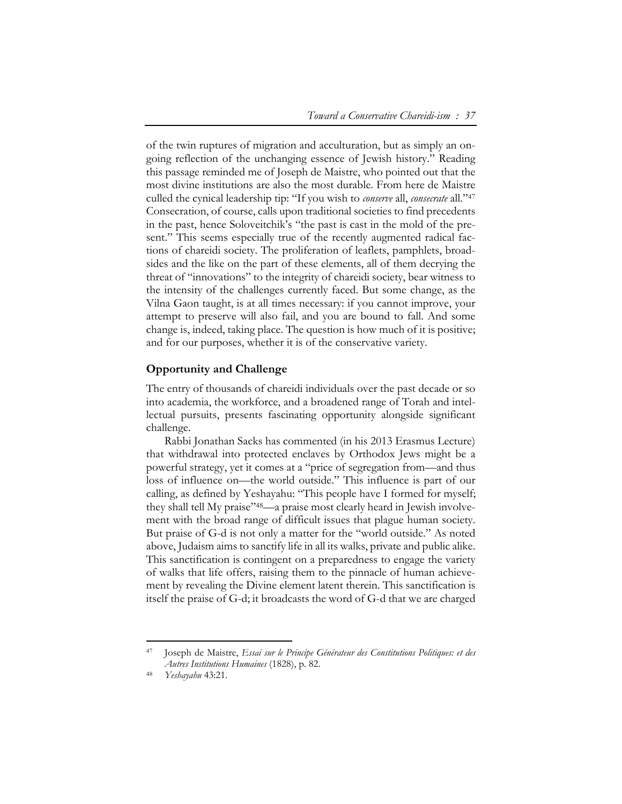of the twin ruptures of migration and acculturation, but as simply an ongoing reflection of the unchanging essence of Jewish history." Reading this passage reminded me of Joseph de Maistre, who pointed out that the most divine institutions are also the most durable. From here de Maistre culled the cynical leadership tip: "If you wish to *conserve* all, *consecrate* all."47 Consecration, of course, calls upon traditional societies to find precedents in the past, hence Soloveitchik's "the past is cast in the mold of the present." This seems especially true of the recently augmented radical factions of chareidi society. The proliferation of leaflets, pamphlets, broadsides and the like on the part of these elements, all of them decrying the threat of "innovations" to the integrity of chareidi society, bear witness to the intensity of the challenges currently faced. But some change, as the Vilna Gaon taught, is at all times necessary: if you cannot improve, your attempt to preserve will also fail, and you are bound to fall. And some change is, indeed, taking place. The question is how much of it is positive; and for our purposes, whether it is of the conservative variety.

## **Opportunity and Challenge**

The entry of thousands of chareidi individuals over the past decade or so into academia, the workforce, and a broadened range of Torah and intellectual pursuits, presents fascinating opportunity alongside significant challenge.

Rabbi Jonathan Sacks has commented (in his 2013 Erasmus Lecture) that withdrawal into protected enclaves by Orthodox Jews might be a powerful strategy, yet it comes at a "price of segregation from—and thus loss of influence on—the world outside." This influence is part of our calling, as defined by Yeshayahu: "This people have I formed for myself; they shall tell My praise"<sup>48</sup>-a praise most clearly heard in Jewish involvement with the broad range of difficult issues that plague human society. But praise of G-d is not only a matter for the "world outside." As noted above, Judaism aims to sanctify life in all its walks, private and public alike. This sanctification is contingent on a preparedness to engage the variety of walks that life offers, raising them to the pinnacle of human achievement by revealing the Divine element latent therein. This sanctification is itself the praise of G-d; it broadcasts the word of G-d that we are charged

<sup>47</sup> Joseph de Maistre, *Essai sur le Principe Générateur des Constitutions Politiques: et des Autres Institutions Humaines* (1828), p. 82. 48 *Yeshayahu* 43:21.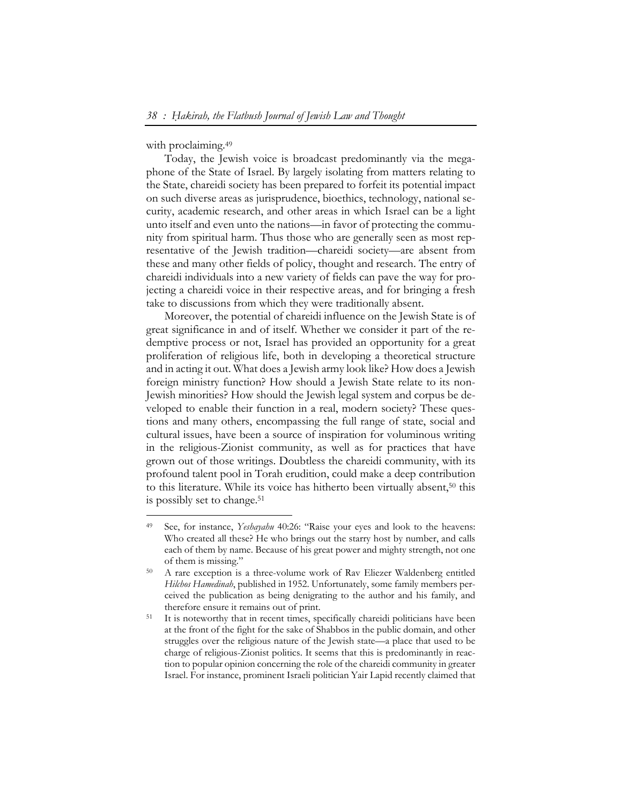with proclaiming.<sup>49</sup>

 $\overline{a}$ 

Today, the Jewish voice is broadcast predominantly via the megaphone of the State of Israel. By largely isolating from matters relating to the State, chareidi society has been prepared to forfeit its potential impact on such diverse areas as jurisprudence, bioethics, technology, national security, academic research, and other areas in which Israel can be a light unto itself and even unto the nations—in favor of protecting the community from spiritual harm. Thus those who are generally seen as most representative of the Jewish tradition—chareidi society—are absent from these and many other fields of policy, thought and research. The entry of chareidi individuals into a new variety of fields can pave the way for projecting a chareidi voice in their respective areas, and for bringing a fresh take to discussions from which they were traditionally absent.

Moreover, the potential of chareidi influence on the Jewish State is of great significance in and of itself. Whether we consider it part of the redemptive process or not, Israel has provided an opportunity for a great proliferation of religious life, both in developing a theoretical structure and in acting it out. What does a Jewish army look like? How does a Jewish foreign ministry function? How should a Jewish State relate to its non-Jewish minorities? How should the Jewish legal system and corpus be developed to enable their function in a real, modern society? These questions and many others, encompassing the full range of state, social and cultural issues, have been a source of inspiration for voluminous writing in the religious-Zionist community, as well as for practices that have grown out of those writings. Doubtless the chareidi community, with its profound talent pool in Torah erudition, could make a deep contribution to this literature. While its voice has hitherto been virtually absent,<sup>50</sup> this is possibly set to change.<sup>51</sup>

<sup>49</sup> See, for instance, *Yeshayahu* 40:26: "Raise your eyes and look to the heavens: Who created all these? He who brings out the starry host by number, and calls each of them by name. Because of his great power and mighty strength, not one of them is missing."<br>
<sup>50</sup> A rare exception is a three-volume work of Rav Eliezer Waldenberg entitled

*Hilchos Hamedinah*, published in 1952. Unfortunately, some family members perceived the publication as being denigrating to the author and his family, and

therefore ensure it remains out of print.<br>
<sup>51</sup> It is noteworthy that in recent times, specifically chareidi politicians have been at the front of the fight for the sake of Shabbos in the public domain, and other struggles over the religious nature of the Jewish state—a place that used to be charge of religious-Zionist politics. It seems that this is predominantly in reaction to popular opinion concerning the role of the chareidi community in greater Israel. For instance, prominent Israeli politician Yair Lapid recently claimed that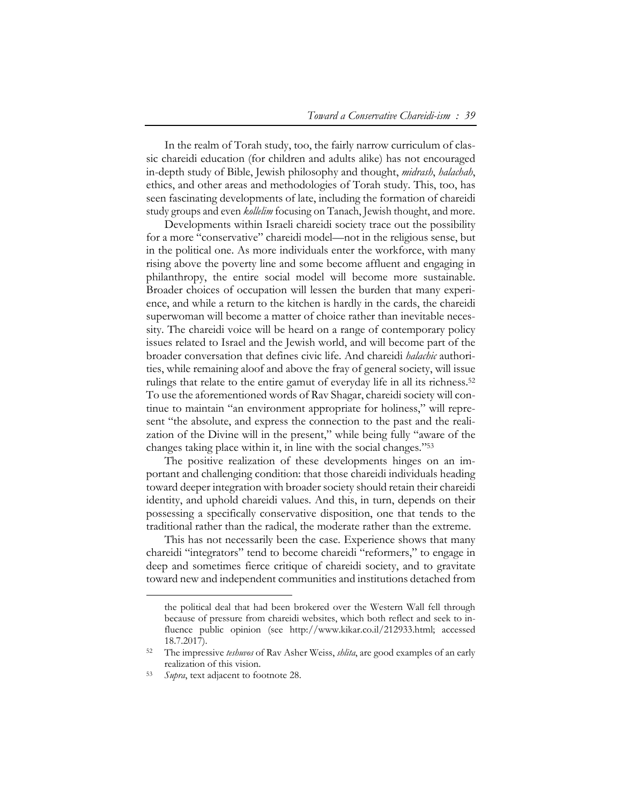In the realm of Torah study, too, the fairly narrow curriculum of classic chareidi education (for children and adults alike) has not encouraged in-depth study of Bible, Jewish philosophy and thought, *midrash*, *halachah*, ethics, and other areas and methodologies of Torah study. This, too, has seen fascinating developments of late, including the formation of chareidi study groups and even *kollelim* focusing on Tanach, Jewish thought, and more.

Developments within Israeli chareidi society trace out the possibility for a more "conservative" chareidi model—not in the religious sense, but in the political one. As more individuals enter the workforce, with many rising above the poverty line and some become affluent and engaging in philanthropy, the entire social model will become more sustainable. Broader choices of occupation will lessen the burden that many experience, and while a return to the kitchen is hardly in the cards, the chareidi superwoman will become a matter of choice rather than inevitable necessity. The chareidi voice will be heard on a range of contemporary policy issues related to Israel and the Jewish world, and will become part of the broader conversation that defines civic life. And chareidi *halachic* authorities, while remaining aloof and above the fray of general society, will issue rulings that relate to the entire gamut of everyday life in all its richness.52 To use the aforementioned words of Rav Shagar, chareidi society will continue to maintain "an environment appropriate for holiness," will represent "the absolute, and express the connection to the past and the realization of the Divine will in the present," while being fully "aware of the changes taking place within it, in line with the social changes."53

The positive realization of these developments hinges on an important and challenging condition: that those chareidi individuals heading toward deeper integration with broader society should retain their chareidi identity, and uphold chareidi values. And this, in turn, depends on their possessing a specifically conservative disposition, one that tends to the traditional rather than the radical, the moderate rather than the extreme.

This has not necessarily been the case. Experience shows that many chareidi "integrators" tend to become chareidi "reformers," to engage in deep and sometimes fierce critique of chareidi society, and to gravitate toward new and independent communities and institutions detached from

the political deal that had been brokered over the Western Wall fell through because of pressure from chareidi websites, which both reflect and seek to influence public opinion (see http://www.kikar.co.il/212933.html; accessed

<sup>18.7.2017). 52</sup> The impressive *teshuvos* of Rav Asher Weiss, *shlita*, are good examples of an early realization of this vision.<br><sup>53</sup> *Supra*, text adjacent to footnote 28.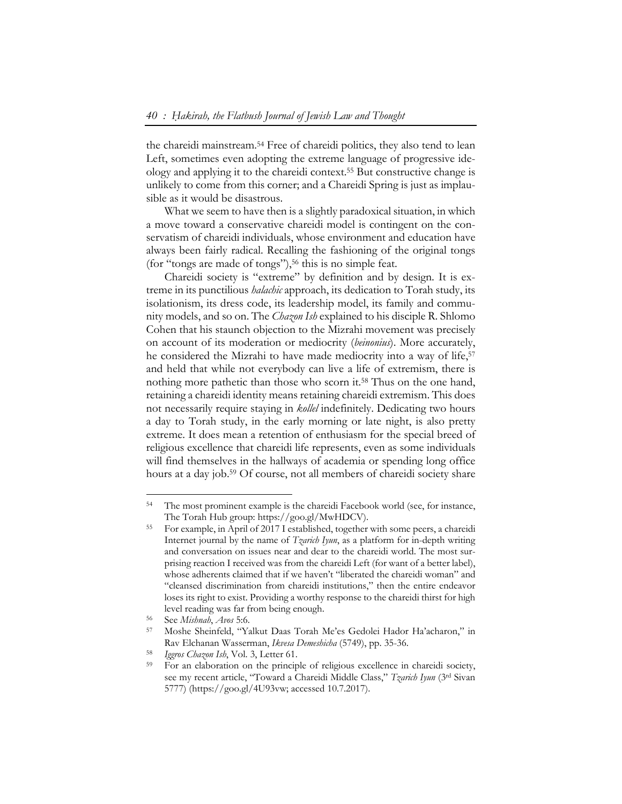the chareidi mainstream.54 Free of chareidi politics, they also tend to lean Left, sometimes even adopting the extreme language of progressive ideology and applying it to the chareidi context.55 But constructive change is unlikely to come from this corner; and a Chareidi Spring is just as implausible as it would be disastrous.

What we seem to have then is a slightly paradoxical situation, in which a move toward a conservative chareidi model is contingent on the conservatism of chareidi individuals, whose environment and education have always been fairly radical. Recalling the fashioning of the original tongs (for "tongs are made of tongs"),<sup>56</sup> this is no simple feat.

Chareidi society is "extreme" by definition and by design. It is extreme in its punctilious *halachic* approach, its dedication to Torah study, its isolationism, its dress code, its leadership model, its family and community models, and so on. The *Chazon Ish* explained to his disciple R. Shlomo Cohen that his staunch objection to the Mizrahi movement was precisely on account of its moderation or mediocrity (*beinonius*). More accurately, he considered the Mizrahi to have made mediocrity into a way of life,<sup>57</sup> and held that while not everybody can live a life of extremism, there is nothing more pathetic than those who scorn it.58 Thus on the one hand, retaining a chareidi identity means retaining chareidi extremism. This does not necessarily require staying in *kollel* indefinitely. Dedicating two hours a day to Torah study, in the early morning or late night, is also pretty extreme. It does mean a retention of enthusiasm for the special breed of religious excellence that chareidi life represents, even as some individuals will find themselves in the hallways of academia or spending long office hours at a day job.<sup>59</sup> Of course, not all members of chareidi society share

<sup>&</sup>lt;sup>54</sup> The most prominent example is the chareidi Facebook world (see, for instance, The Torah Hub group: https://goo.gl/MwHDCV).<br>
<sup>55</sup> For example, in April of 2017 I established, together with some peers, a chareidi

Internet journal by the name of *Tzarich Iyun*, as a platform for in-depth writing and conversation on issues near and dear to the chareidi world. The most surprising reaction I received was from the chareidi Left (for want of a better label), whose adherents claimed that if we haven't "liberated the chareidi woman" and "cleansed discrimination from chareidi institutions," then the entire endeavor loses its right to exist. Providing a worthy response to the chareidi thirst for high level reading was far from being enough. 56 See *Mishnah*, *Avos* 5:6. 57 Moshe Sheinfeld, "Yalkut Daas Torah Me'es Gedolei Hador Ha'acharon," in

Rav Elchanan Wasserman, *Ikvesa Demeshicha* (5749), pp. 35-36.<br><sup>58</sup> *Iggros Chazon Ish*, Vol. 3, Letter 61.<br><sup>59</sup> For an elaboration on the principle of religious excellence in chareidi society,

see my recent article, "Toward a Chareidi Middle Class," *Tzarich Iyun* (3rd Sivan 5777) (https://goo.gl/4U93vw; accessed 10.7.2017).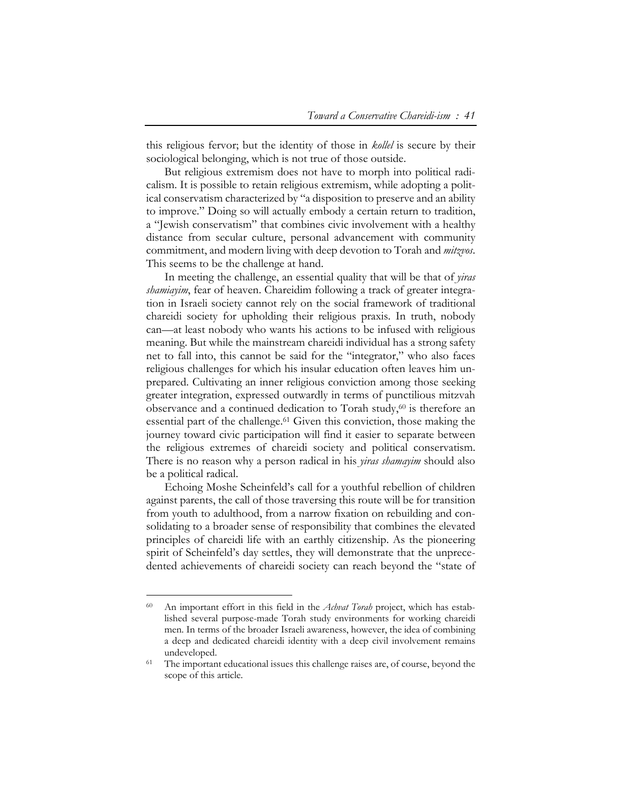this religious fervor; but the identity of those in *kollel* is secure by their sociological belonging, which is not true of those outside.

But religious extremism does not have to morph into political radicalism. It is possible to retain religious extremism, while adopting a political conservatism characterized by "a disposition to preserve and an ability to improve." Doing so will actually embody a certain return to tradition, a "Jewish conservatism" that combines civic involvement with a healthy distance from secular culture, personal advancement with community commitment, and modern living with deep devotion to Torah and *mitzvos*. This seems to be the challenge at hand.

In meeting the challenge, an essential quality that will be that of *yiras shamiayim*, fear of heaven. Chareidim following a track of greater integration in Israeli society cannot rely on the social framework of traditional chareidi society for upholding their religious praxis. In truth, nobody can—at least nobody who wants his actions to be infused with religious meaning. But while the mainstream chareidi individual has a strong safety net to fall into, this cannot be said for the "integrator," who also faces religious challenges for which his insular education often leaves him unprepared. Cultivating an inner religious conviction among those seeking greater integration, expressed outwardly in terms of punctilious mitzvah observance and a continued dedication to Torah study, $60$  is therefore an essential part of the challenge.<sup>61</sup> Given this conviction, those making the journey toward civic participation will find it easier to separate between the religious extremes of chareidi society and political conservatism. There is no reason why a person radical in his *yiras shamayim* should also be a political radical.

Echoing Moshe Scheinfeld's call for a youthful rebellion of children against parents, the call of those traversing this route will be for transition from youth to adulthood, from a narrow fixation on rebuilding and consolidating to a broader sense of responsibility that combines the elevated principles of chareidi life with an earthly citizenship. As the pioneering spirit of Scheinfeld's day settles, they will demonstrate that the unprecedented achievements of chareidi society can reach beyond the "state of

<sup>60</sup> An important effort in this field in the *Achvat Torah* project, which has established several purpose-made Torah study environments for working chareidi men. In terms of the broader Israeli awareness, however, the idea of combining a deep and dedicated chareidi identity with a deep civil involvement remains undeveloped. 61 The important educational issues this challenge raises are, of course, beyond the

scope of this article.